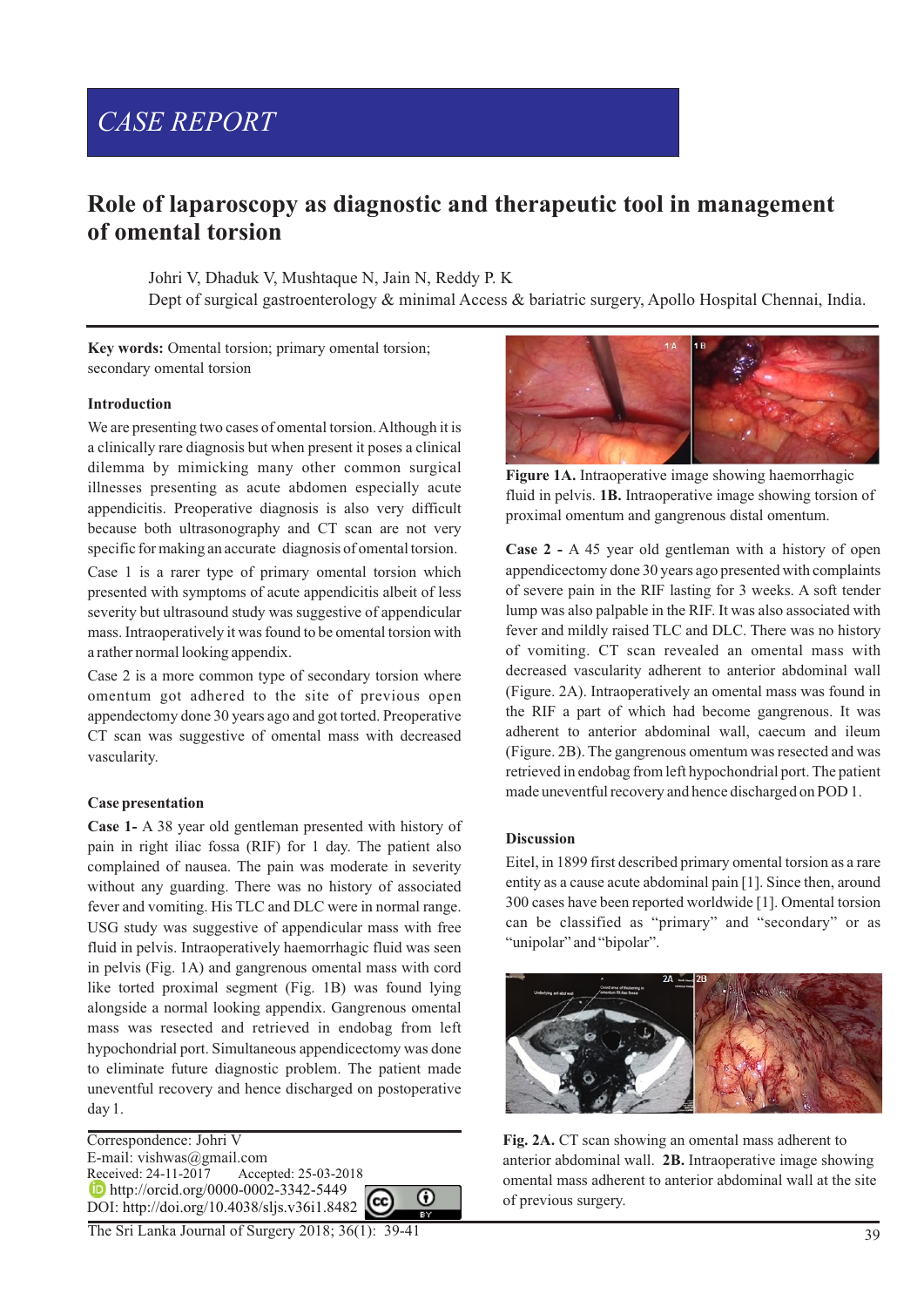# *CASE REPORT*

# **Role of laparoscopy as diagnostic and therapeutic tool in management of omental torsion**

Johri V, Dhaduk V, Mushtaque N, Jain N, Reddy P. K

Dept of surgical gastroenterology & minimal Access & bariatric surgery, Apollo Hospital Chennai, India.

Key words: Omental torsion; primary omental torsion; secondary omental torsion

#### **Introduction**

We are presenting two cases of omental torsion. Although it is a clinically rare diagnosis but when present it poses a clinical dilemma by mimicking many other common surgical illnesses presenting as acute abdomen especially acute appendicitis. Preoperative diagnosis is also very difficult because both ultrasonography and CT scan are not very specific for making an accurate diagnosis of omental torsion.

Case 1 is a rarer type of primary omental torsion which presented with symptoms of acute appendicitis albeit of less severity but ultrasound study was suggestive of appendicular mass. Intraoperatively it was found to be omental torsion with a rather normal looking appendix.

Case 2 is a more common type of secondary torsion where omentum got adhered to the site of previous open appendectomy done 30 years ago and got torted. Preoperative CT scan was suggestive of omental mass with decreased vascularity.

#### **Case presentation**

**Case 1-** A 38 year old gentleman presented with history of pain in right iliac fossa (RIF) for 1 day. The patient also complained of nausea. The pain was moderate in severity without any guarding. There was no history of associated fever and vomiting. His TLC and DLC were in normal range. USG study was suggestive of appendicular mass with free fluid in pelvis. Intraoperatively haemorrhagic fluid was seen in pelvis (Fig. 1A) and gangrenous omental mass with cord like torted proximal segment (Fig. 1B) was found lying alongside a normal looking appendix. Gangrenous omental mass was resected and retrieved in endobag from left hypochondrial port. Simultaneous appendicectomy was done to eliminate future diagnostic problem. The patient made uneventful recovery and hence discharged on postoperative day 1.

Correspondence: Johri V E-mail: vishwas@gmail.com<br>Received: 24-11-2017 Accep Accepted: 25-03-2018 **http://orcid.org/0000-0002-3342-5449** ⋒ DOI: http://doi.org/10.4038/sljs.v36i1.8482



#### **Discussion**

Eitel, in 1899 first described primary omental torsion as a rare entity as a cause acute abdominal pain [1]. Since then, around 300 cases have been reported worldwide [1]. Omental torsion can be classified as "primary" and "secondary" or as "unipolar" and "bipolar".



**Fig. 2A.** CT scan showing an omental mass adherent to anterior abdominal wall. **2B.** Intraoperative image showing omental mass adherent to anterior abdominal wall at the site of previous surgery.

The Sri Lanka Journal of Surgery 2018; 36(1): 39-41



**Figure 1A.** Intraoperative image showing haemorrhagic fluid in pelvis. **1B.** Intraoperative image showing torsion of proximal omentum and gangrenous distal omentum.

**Case 2 -** A 45 year old gentleman with a history of open appendicectomy done 30 years ago presented with complaints of severe pain in the RIF lasting for 3 weeks. A soft tender lump was also palpable in the RIF. It was also associated with fever and mildly raised TLC and DLC. There was no history of vomiting. CT scan revealed an omental mass with decreased vascularity adherent to anterior abdominal wall (Figure. 2A). Intraoperatively an omental mass was found in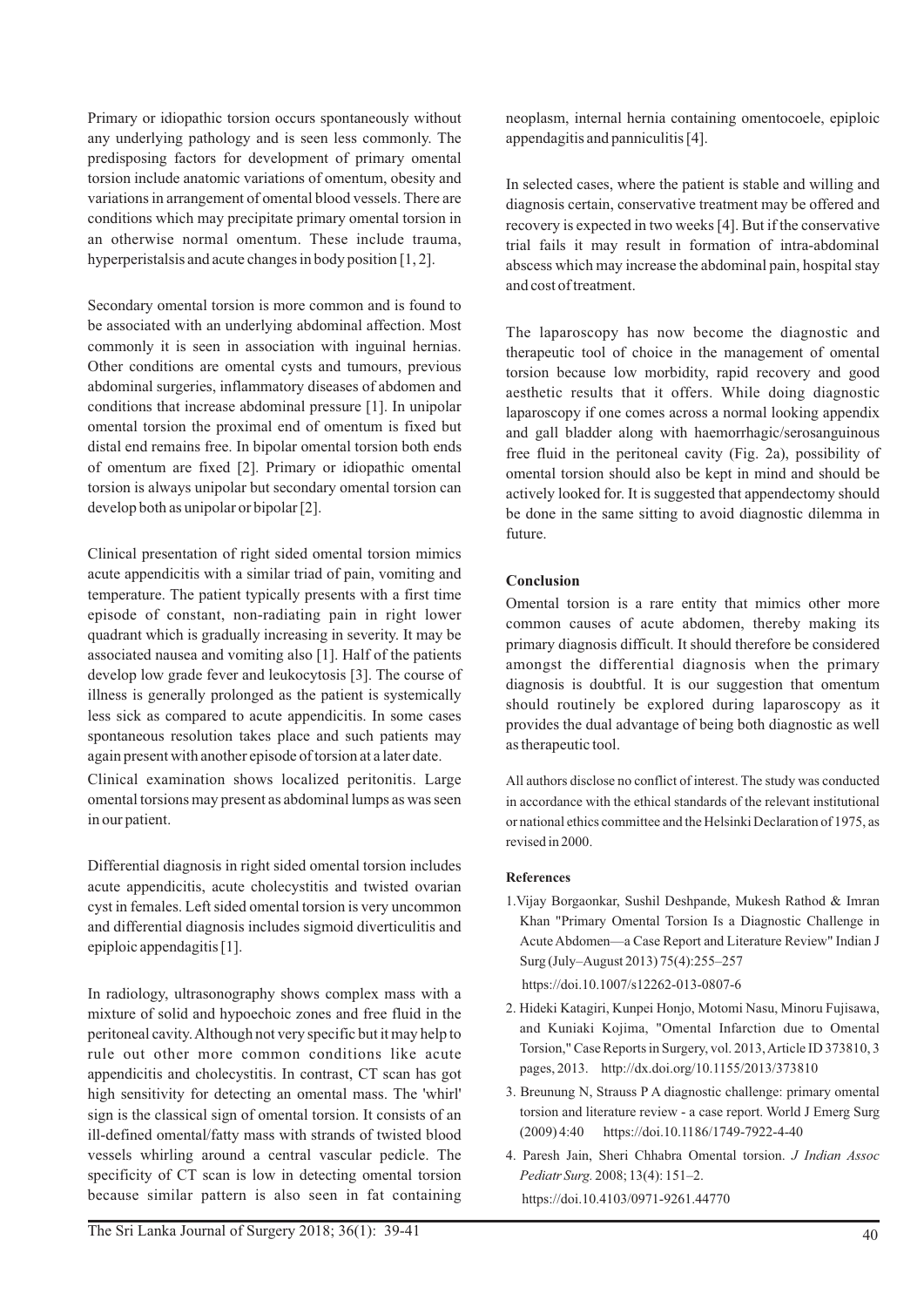Primary or idiopathic torsion occurs spontaneously without any underlying pathology and is seen less commonly. The predisposing factors for development of primary omental torsion include anatomic variations of omentum, obesity and variations in arrangement of omental blood vessels. There are conditions which may precipitate primary omental torsion in an otherwise normal omentum. These include trauma, hyperperistalsis and acute changes in body position [1, 2].

Secondary omental torsion is more common and is found to be associated with an underlying abdominal affection. Most commonly it is seen in association with inguinal hernias. Other conditions are omental cysts and tumours, previous abdominal surgeries, inflammatory diseases of abdomen and conditions that increase abdominal pressure [1]. In unipolar omental torsion the proximal end of omentum is fixed but distal end remains free. In bipolar omental torsion both ends of omentum are fixed [2]. Primary or idiopathic omental torsion is always unipolar but secondary omental torsion can develop both as unipolar or bipolar [2].

Clinical presentation of right sided omental torsion mimics acute appendicitis with a similar triad of pain, vomiting and temperature. The patient typically presents with a first time episode of constant, non-radiating pain in right lower quadrant which is gradually increasing in severity. It may be associated nausea and vomiting also [1]. Half of the patients develop low grade fever and leukocytosis [3]. The course of illness is generally prolonged as the patient is systemically less sick as compared to acute appendicitis. In some cases spontaneous resolution takes place and such patients may again present with another episode of torsion at a later date.

Clinical examination shows localized peritonitis. Large omental torsions may present as abdominal lumps as was seen in our patient.

Differential diagnosis in right sided omental torsion includes acute appendicitis, acute cholecystitis and twisted ovarian cyst in females. Left sided omental torsion is very uncommon and differential diagnosis includes sigmoid diverticulitis and epiploic appendagitis [1].

In radiology, ultrasonography shows complex mass with a mixture of solid and hypoechoic zones and free fluid in the peritoneal cavity. Although not very specific but it may help to rule out other more common conditions like acute appendicitis and cholecystitis. In contrast, CT scan has got high sensitivity for detecting an omental mass. The 'whirl' sign is the classical sign of omental torsion. It consists of an ill-defined omental/fatty mass with strands of twisted blood vessels whirling around a central vascular pedicle. The specificity of CT scan is low in detecting omental torsion because similar pattern is also seen in fat containing

neoplasm, internal hernia containing omentocoele, epiploic appendagitis and panniculitis [4].

In selected cases, where the patient is stable and willing and diagnosis certain, conservative treatment may be offered and recovery is expected in two weeks [4]. But if the conservative trial fails it may result in formation of intra-abdominal abscess which may increase the abdominal pain, hospital stay and cost of treatment.

The laparoscopy has now become the diagnostic and therapeutic tool of choice in the management of omental torsion because low morbidity, rapid recovery and good aesthetic results that it offers. While doing diagnostic laparoscopy if one comes across a normal looking appendix and gall bladder along with haemorrhagic/serosanguinous free fluid in the peritoneal cavity (Fig. 2a), possibility of omental torsion should also be kept in mind and should be actively looked for. It is suggested that appendectomy should be done in the same sitting to avoid diagnostic dilemma in future.

## **Conclusion**

Omental torsion is a rare entity that mimics other more common causes of acute abdomen, thereby making its primary diagnosis difficult. It should therefore be considered amongst the differential diagnosis when the primary diagnosis is doubtful. It is our suggestion that omentum should routinely be explored during laparoscopy as it provides the dual advantage of being both diagnostic as well as therapeutic tool.

All authors disclose no conflict of interest. The study was conducted in accordance with the ethical standards of the relevant institutional or national ethics committee and the Helsinki Declaration of 1975, as revised in 2000.

### **References**

1.Vijay Borgaonkar, Sushil Deshpande, Mukesh Rathod & Imran Khan "Primary Omental Torsion Is a Diagnostic Challenge in Acute Abdomen—a Case Report and Literature Review" Indian J Surg (July–August 2013) 75(4):255–257

https://doi.10.1007/s12262-013-0807-6

- 2. Hideki Katagiri, Kunpei Honjo, Motomi Nasu, Minoru Fujisawa, and Kuniaki Kojima, "Omental Infarction due to Omental Torsion," Case Reports in Surgery, vol. 2013, Article ID 373810, 3 pages, 2013. http://dx.doi.org/10.1155/2013/373810
- 3. Breunung N, Strauss P A diagnostic challenge: primary omental torsion and literature review - a case report. World J Emerg Surg (2009) 4:40 https://doi.10.1186/1749-7922-4-40
- 4. Paresh Jain, Sheri Chhabra Omental torsion. *J Indian Assoc Pediatr Surg.* 2008; 13(4): 151–2. https://doi.10.4103/0971-9261.44770